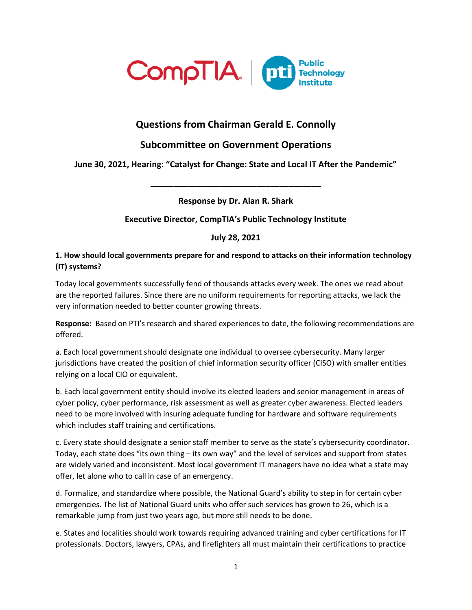

# **Questions from Chairman Gerald E. Connolly**

# **Subcommittee on Government Operations**

# **June 30, 2021, Hearing: "Catalyst for Change: State and Local IT After the Pandemic"**

**\_\_\_\_\_\_\_\_\_\_\_\_\_\_\_\_\_\_\_\_\_\_\_\_\_\_\_\_\_\_\_\_\_\_\_\_\_**

**Response by Dr. Alan R. Shark**

## **Executive Director, CompTIA's Public Technology Institute**

**July 28, 2021**

#### **1. How should local governments prepare for and respond to attacks on their information technology (IT) systems?**

Today local governments successfully fend of thousands attacks every week. The ones we read about are the reported failures. Since there are no uniform requirements for reporting attacks, we lack the very information needed to better counter growing threats.

**Response:** Based on PTI's research and shared experiences to date, the following recommendations are offered.

a. Each local government should designate one individual to oversee cybersecurity. Many larger jurisdictions have created the position of chief information security officer (CISO) with smaller entities relying on a local CIO or equivalent.

b. Each local government entity should involve its elected leaders and senior management in areas of cyber policy, cyber performance, risk assessment as well as greater cyber awareness. Elected leaders need to be more involved with insuring adequate funding for hardware and software requirements which includes staff training and certifications.

c. Every state should designate a senior staff member to serve as the state's cybersecurity coordinator. Today, each state does "its own thing – its own way" and the level of services and support from states are widely varied and inconsistent. Most local government IT managers have no idea what a state may offer, let alone who to call in case of an emergency.

d. Formalize, and standardize where possible, the National Guard's ability to step in for certain cyber emergencies. The list of National Guard units who offer such services has grown to 26, which is a remarkable jump from just two years ago, but more still needs to be done.

e. States and localities should work towards requiring advanced training and cyber certifications for IT professionals. Doctors, lawyers, CPAs, and firefighters all must maintain their certifications to practice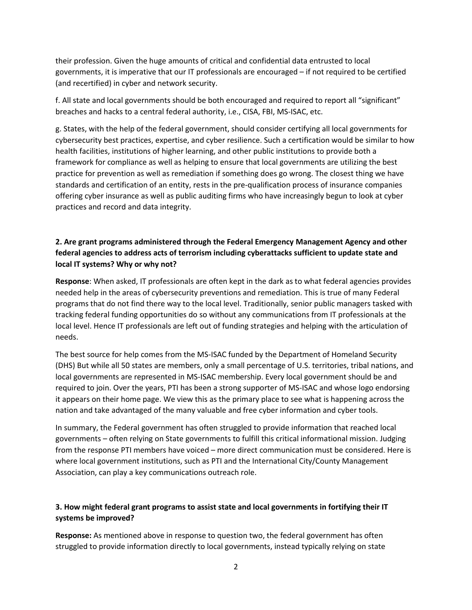their profession. Given the huge amounts of critical and confidential data entrusted to local governments, it is imperative that our IT professionals are encouraged – if not required to be certified (and recertified) in cyber and network security.

f. All state and local governments should be both encouraged and required to report all "significant" breaches and hacks to a central federal authority, i.e., CISA, FBI, MS-ISAC, etc.

g. States, with the help of the federal government, should consider certifying all local governments for cybersecurity best practices, expertise, and cyber resilience. Such a certification would be similar to how health facilities, institutions of higher learning, and other public institutions to provide both a framework for compliance as well as helping to ensure that local governments are utilizing the best practice for prevention as well as remediation if something does go wrong. The closest thing we have standards and certification of an entity, rests in the pre-qualification process of insurance companies offering cyber insurance as well as public auditing firms who have increasingly begun to look at cyber practices and record and data integrity.

## **2. Are grant programs administered through the Federal Emergency Management Agency and other federal agencies to address acts of terrorism including cyberattacks sufficient to update state and local IT systems? Why or why not?**

**Response**: When asked, IT professionals are often kept in the dark as to what federal agencies provides needed help in the areas of cybersecurity preventions and remediation. This is true of many Federal programs that do not find there way to the local level. Traditionally, senior public managers tasked with tracking federal funding opportunities do so without any communications from IT professionals at the local level. Hence IT professionals are left out of funding strategies and helping with the articulation of needs.

The best source for help comes from the MS-ISAC funded by the Department of Homeland Security (DHS) But while all 50 states are members, only a small percentage of U.S. territories, tribal nations, and local governments are represented in MS-ISAC membership. Every local government should be and required to join. Over the years, PTI has been a strong supporter of MS-ISAC and whose logo endorsing it appears on their home page. We view this as the primary place to see what is happening across the nation and take advantaged of the many valuable and free cyber information and cyber tools.

In summary, the Federal government has often struggled to provide information that reached local governments – often relying on State governments to fulfill this critical informational mission. Judging from the response PTI members have voiced – more direct communication must be considered. Here is where local government institutions, such as PTI and the International City/County Management Association, can play a key communications outreach role.

# **3. How might federal grant programs to assist state and local governments in fortifying their IT systems be improved?**

**Response:** As mentioned above in response to question two, the federal government has often struggled to provide information directly to local governments, instead typically relying on state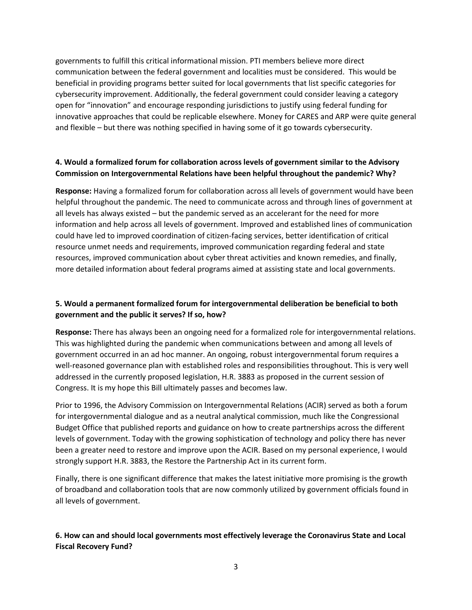governments to fulfill this critical informational mission. PTI members believe more direct communication between the federal government and localities must be considered. This would be beneficial in providing programs better suited for local governments that list specific categories for cybersecurity improvement. Additionally, the federal government could consider leaving a category open for "innovation" and encourage responding jurisdictions to justify using federal funding for innovative approaches that could be replicable elsewhere. Money for CARES and ARP were quite general and flexible – but there was nothing specified in having some of it go towards cybersecurity.

### **4. Would a formalized forum for collaboration across levels of government similar to the Advisory Commission on Intergovernmental Relations have been helpful throughout the pandemic? Why?**

**Response:** Having a formalized forum for collaboration across all levels of government would have been helpful throughout the pandemic. The need to communicate across and through lines of government at all levels has always existed – but the pandemic served as an accelerant for the need for more information and help across all levels of government. Improved and established lines of communication could have led to improved coordination of citizen-facing services, better identification of critical resource unmet needs and requirements, improved communication regarding federal and state resources, improved communication about cyber threat activities and known remedies, and finally, more detailed information about federal programs aimed at assisting state and local governments.

## **5. Would a permanent formalized forum for intergovernmental deliberation be beneficial to both government and the public it serves? If so, how?**

**Response:** There has always been an ongoing need for a formalized role for intergovernmental relations. This was highlighted during the pandemic when communications between and among all levels of government occurred in an ad hoc manner. An ongoing, robust intergovernmental forum requires a well-reasoned governance plan with established roles and responsibilities throughout. This is very well addressed in the currently proposed legislation, H.R. 3883 as proposed in the current session of Congress. It is my hope this Bill ultimately passes and becomes law.

Prior to 1996, the Advisory Commission on Intergovernmental Relations (ACIR) served as both a forum for intergovernmental dialogue and as a neutral analytical commission, much like the Congressional Budget Office that published reports and guidance on how to create partnerships across the different levels of government. Today with the growing sophistication of technology and policy there has never been a greater need to restore and improve upon the ACIR. Based on my personal experience, I would strongly support H.R. 3883, the Restore the Partnership Act in its current form.

Finally, there is one significant difference that makes the latest initiative more promising is the growth of broadband and collaboration tools that are now commonly utilized by government officials found in all levels of government.

## **6. How can and should local governments most effectively leverage the Coronavirus State and Local Fiscal Recovery Fund?**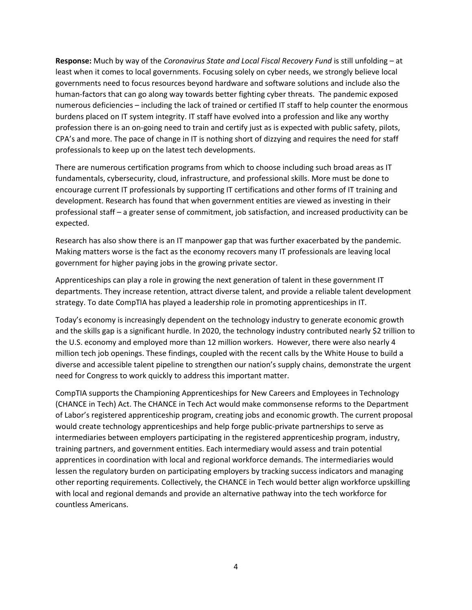**Response:** Much by way of the *Coronavirus State and Local Fiscal Recovery Fund* is still unfolding – at least when it comes to local governments. Focusing solely on cyber needs, we strongly believe local governments need to focus resources beyond hardware and software solutions and include also the human-factors that can go along way towards better fighting cyber threats. The pandemic exposed numerous deficiencies – including the lack of trained or certified IT staff to help counter the enormous burdens placed on IT system integrity. IT staff have evolved into a profession and like any worthy profession there is an on-going need to train and certify just as is expected with public safety, pilots, CPA's and more. The pace of change in IT is nothing short of dizzying and requires the need for staff professionals to keep up on the latest tech developments.

There are numerous certification programs from which to choose including such broad areas as IT fundamentals, cybersecurity, cloud, infrastructure, and professional skills. More must be done to encourage current IT professionals by supporting IT certifications and other forms of IT training and development. Research has found that when government entities are viewed as investing in their professional staff – a greater sense of commitment, job satisfaction, and increased productivity can be expected.

Research has also show there is an IT manpower gap that was further exacerbated by the pandemic. Making matters worse is the fact as the economy recovers many IT professionals are leaving local government for higher paying jobs in the growing private sector.

Apprenticeships can play a role in growing the next generation of talent in these government IT departments. They increase retention, attract diverse talent, and provide a reliable talent development strategy. To date CompTIA has played a leadership role in promoting apprenticeships in IT.

Today's economy is increasingly dependent on the technology industry to generate economic growth and the skills gap is a significant hurdle. In 2020, the technology industry contributed nearly \$2 trillion to the U.S. economy and employed more than 12 million workers. However, there were also nearly 4 million tech job openings. These findings, coupled with the recent calls by the White House to build a diverse and accessible talent pipeline to strengthen our nation's supply chains, demonstrate the urgent need for Congress to work quickly to address this important matter.

CompTIA supports the Championing Apprenticeships for New Careers and Employees in Technology (CHANCE in Tech) Act. The CHANCE in Tech Act would make commonsense reforms to the Department of Labor's registered apprenticeship program, creating jobs and economic growth. The current proposal would create technology apprenticeships and help forge public-private partnerships to serve as intermediaries between employers participating in the registered apprenticeship program, industry, training partners, and government entities. Each intermediary would assess and train potential apprentices in coordination with local and regional workforce demands. The intermediaries would lessen the regulatory burden on participating employers by tracking success indicators and managing other reporting requirements. Collectively, the CHANCE in Tech would better align workforce upskilling with local and regional demands and provide an alternative pathway into the tech workforce for countless Americans.